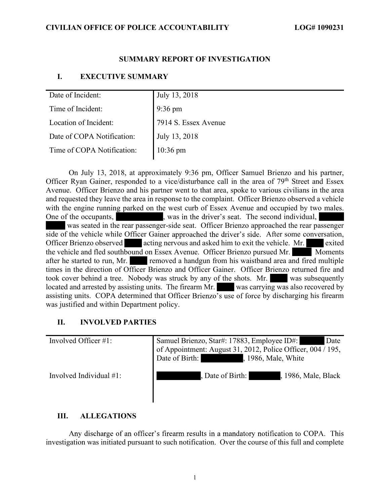## SUMMARY REPORT OF INVESTIGATION

#### I. EXECUTIVE SUMMARY

| Date of Incident:          | July 13, 2018        |
|----------------------------|----------------------|
| Time of Incident:          | $9:36 \text{ pm}$    |
| Location of Incident:      | 7914 S. Essex Avenue |
| Date of COPA Notification: | July 13, 2018        |
| Time of COPA Notification: | 10:36 pm             |

One of the occupants, extending the driver's seat. The second individual, side of the vehicle while Officer Gainer approached the driver's side. After some conversation, assisting units. COPA determined that Officer Brienzo's use of force by discharging his firearm On July 13, 2018, at approximately 9:36 pm, Officer Samuel Brienzo and his partner, Officer Ryan Gainer, responded to a vice/disturbance call in the area of 79<sup>th</sup> Street and Essex Avenue. Officer Brienzo and his partner went to that area, spoke to various civilians in the area and requested they leave the area in response to the complaint. Officer Brienzo observed a vehicle with the engine running parked on the west curb of Essex Avenue and occupied by two males. was seated in the rear passenger-side seat. Officer Brienzo approached the rear passenger Officer Brienzo observed acting nervous and asked him to exit the vehicle. Mr. exited the vehicle and fled southbound on Essex Avenue. Officer Brienzo pursued Mr. Moments after he started to run, Mr. removed a handgun from his waistband area and fired multiple times in the direction of Officer Brienzo and Officer Gainer. Officer Brienzo returned fire and took cover behind a tree. Nobody was struck by any of the shots. Mr. was subsequently located and arrested by assisting units. The firearm Mr. was carrying was also recovered by was justified and within Department policy.

## II. INVOLVED PARTIES

| Involved Officer $\#1$ :   | Samuel Brienzo, Star#: 17883, Employee ID#:<br>Date<br>of Appointment: August 31, 2012, Police Officer, 004 / 195,<br>, 1986, Male, White<br>Date of Birth: |
|----------------------------|-------------------------------------------------------------------------------------------------------------------------------------------------------------|
| Involved Individual $#1$ : | , Date of Birth:<br>, 1986, Male, Black                                                                                                                     |

#### III. ALLEGATIONS

Any discharge of an officer's firearm results in a mandatory notification to COPA. This investigation was initiated pursuant to such notification. Over the course of this full and complete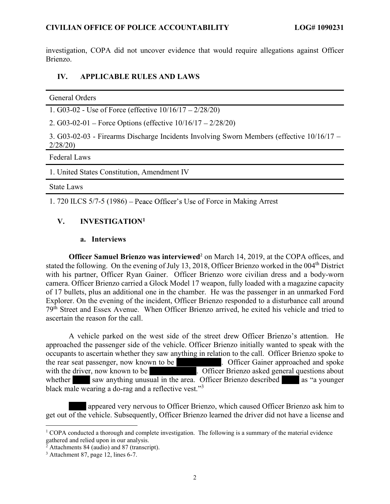investigation, COPA did not uncover evidence that would require allegations against Officer Brienzo.

## IV. APPLICABLE RULES AND LAWS

| General Orders                                                                                           |
|----------------------------------------------------------------------------------------------------------|
| 1. G03-02 - Use of Force (effective $10/16/17 - 2/28/20$ )                                               |
| 2. G03-02-01 – Force Options (effective $10/16/17 - 2/28/20$ )                                           |
| 3. $G03-02-03$ - Firearms Discharge Incidents Involving Sworn Members (effective $10/16/17$ –<br>2/28/20 |
| <b>Federal Laws</b>                                                                                      |
| 1. United States Constitution, Amendment IV                                                              |

#### State Laws

1. 720 ILCS 5/7-5 (1986) – Peace Officer's Use of Force in Making Arrest

## V. INVESTIGATION<sup>1</sup>

#### a. Interviews

Officer Samuel Brienzo was interviewed<sup>2</sup> on March 14, 2019, at the COPA offices, and stated the following. On the evening of July 13, 2018, Officer Brienzo worked in the 004<sup>th</sup> District with his partner, Officer Ryan Gainer. Officer Brienzo wore civilian dress and a body-worn camera. Officer Brienzo carried a Glock Model 17 weapon, fully loaded with a magazine capacity of 17 bullets, plus an additional one in the chamber. He was the passenger in an unmarked Ford Explorer. On the evening of the incident, Officer Brienzo responded to a disturbance call around 79th Street and Essex Avenue. When Officer Brienzo arrived, he exited his vehicle and tried to ascertain the reason for the call.

A vehicle parked on the west side of the street drew Officer Brienzo's attention. He whether saw anything unusual in the area. Officer Brienzo described as "a younger black male wearing a do-rag and a reflective vest."<sup>3</sup> approached the passenger side of the vehicle. Officer Brienzo initially wanted to speak with the occupants to ascertain whether they saw anything in relation to the call. Officer Brienzo spoke to the rear seat passenger, now known to be **.** Officer Gainer approached and spoke with the driver, now known to be . Officer Brienzo asked general questions about

 appeared very nervous to Officer Brienzo, which caused Officer Brienzo ask him to get out of the vehicle. Subsequently, Officer Brienzo learned the driver did not have a license and 1

<sup>&</sup>lt;sup>1</sup> COPA conducted a thorough and complete investigation. The following is a summary of the material evidence gathered and relied upon in our analysis. 2 Attachments 84 (audio) and 87 (transcript).

<sup>&</sup>lt;sup>3</sup> Attachment 87, page 12, lines 6-7.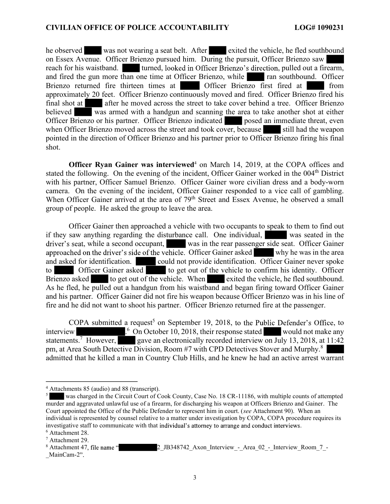reach for his waistband. In turned, looked in Officer Brienzo's direction, pulled out a firearm, he observed was not wearing a seat belt. After exited the vehicle, he fled southbound on Essex Avenue. Officer Brienzo pursued him. During the pursuit, Officer Brienzo saw and fired the gun more than one time at Officer Brienzo, while ran southbound. Officer Brienzo returned fire thirteen times at Officer Brienzo first fired at from approximately 20 feet. Officer Brienzo continuously moved and fired. Officer Brienzo fired his final shot at after he moved across the street to take cover behind a tree. Officer Brienzo believed was armed with a handgun and scanning the area to take another shot at either Officer Brienzo or his partner. Officer Brienzo indicated posed an immediate threat, even when Officer Brienzo moved across the street and took cover, because still had the weapon pointed in the direction of Officer Brienzo and his partner prior to Officer Brienzo firing his final shot.

Officer Ryan Gainer was interviewed<sup>4</sup> on March 14, 2019, at the COPA offices and stated the following. On the evening of the incident, Officer Gainer worked in the 004<sup>th</sup> District with his partner, Officer Samuel Brienzo. Officer Gainer wore civilian dress and a body-worn camera. On the evening of the incident, Officer Gainer responded to a vice call of gambling. When Officer Gainer arrived at the area of 79<sup>th</sup> Street and Essex Avenue, he observed a small group of people. He asked the group to leave the area.

driver's seat, while a second occupant, was in the rear passenger side seat. Officer Gainer approached on the driver's side of the vehicle. Officer Gainer asked why he was in the area Officer Gainer then approached a vehicle with two occupants to speak to them to find out if they saw anything regarding the disturbance call. One individual, was seated in the and asked for identification. could not provide identification. Officer Gainer never spoke to Officer Gainer asked to get out of the vehicle to confirm his identity. Officer Brienzo asked to get out of the vehicle. When exited the vehicle, he fled southbound. As he fled, he pulled out a handgun from his waistband and began firing toward Officer Gainer and his partner. Officer Gainer did not fire his weapon because Officer Brienzo was in his line of fire and he did not want to shoot his partner. Officer Brienzo returned fire at the passenger.

COPA submitted a request<sup>5</sup> on September 19, 2018, to the Public Defender's Office, to interview ... <sup>6</sup> On October 10, 2018, their response stated would not make any statements.<sup>7</sup> However, gave an electronically recorded interview on July 13, 2018, at 11:42 pm, at Area South Detective Division, Room #7 with CPD Detectives Stover and Murphy.<sup>8</sup> admitted that he killed a man in Country Club Hills, and he knew he had an active arrest warrant 4

<sup>&</sup>lt;sup>4</sup> Attachments 85 (audio) and 88 (transcript).<br> $5 \times 5$  was charged in the Circuit Court of C

investigative staff to communicate with that individual's attorney to arrange and conduct interviews.<br>  $6.4$ ttachment 28 was charged in the Circuit Court of Cook County, Case No. 18 CR-11186, with multiple counts of attempted murder and aggravated unlawful use of a firearm, for discharging his weapon at Officers Brienzo and Gainer. The Court appointed the Office of the Public Defender to represent him in court. (see Attachment 90). When an individual is represented by counsel relative to a matter under investigation by COPA, COPA procedure requires its

 $6$  Attachment 28. Attachment 29.

<sup>&</sup>lt;sup>8</sup> Attachment 47, file name " MainCam-2". 2 JB348742 Axon Interview - Area 02 - Interview Room 7 -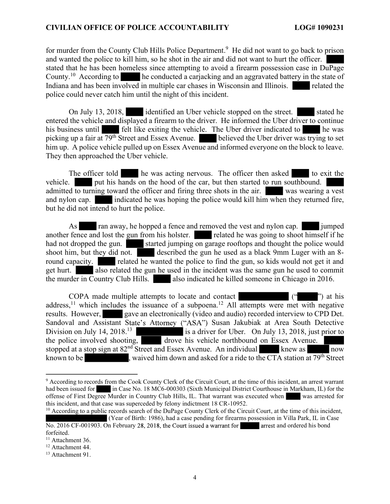#### CIVILIAN OFFICE OF POLICE ACCOUNTABILITY LOG# 1090231

for murder from the County Club Hills Police Department.<sup>9</sup> He did not want to go back to prison and wanted the police to kill him, so he shot in the air and did not want to hurt the officer. stated that he has been homeless since attempting to avoid a firearm possession case in DuPage County.10 According to he conducted a carjacking and an aggravated battery in the state of Indiana and has been involved in multiple car chases in Wisconsin and Illinois. police could never catch him until the night of this incident.

On July 13, 2018, identified an Uber vehicle stopped on the street. stated he entered the vehicle and displayed a firearm to the driver. He informed the Uber driver to continue his business until felt like exiting the vehicle. The Uber driver indicated to he was picking up a fair at 79<sup>th</sup> Street and Essex Avenue. **believed the Uber driver was trying to set** him up. A police vehicle pulled up on Essex Avenue and informed everyone on the block to leave. They then approached the Uber vehicle.

The officer told he was acting nervous. The officer then asked to exit the vehicle. put his hands on the hood of the car, but then started to run southbound. admitted to turning toward the officer and firing three shots in the air. was wearing a vest and nylon cap. indicated he was hoping the police would kill him when they returned fire, but he did not intend to hurt the police.

As ran away, he hopped a fence and removed the vest and nylon cap. jumped another fence and lost the gun from his holster. related he was going to shoot himself if he had not dropped the gun. started jumping on garage rooftops and thought the police would shoot him, but they did not. described the gun he used as a black 9mm Luger with an 8round capacity. related he wanted the police to find the gun, so kids would not get it and get hurt. also related the gun he used in the incident was the same gun he used to commit the murder in Country Club Hills. also indicated he killed someone in Chicago in 2016.

 $($ "  $)$ " at his Sandoval and Assistant State's Attorney ("ASA") Susan Jakubiak at Area South Detective COPA made multiple attempts to locate and contact address,<sup>11</sup> which includes the issuance of a subpoena.<sup>12</sup> All attempts were met with negative results. However, gave an electronically (video and audio) recorded interview to CPD Det. Division on July 14, 2018.<sup>13</sup> is a driver for Uber. On July 13, 2018, just prior to the police involved shooting, drove his vehicle northbound on Essex Avenue. stopped at a stop sign at  $82<sup>nd</sup>$  Street and Essex Avenue. An individual knew as now known to be seen as a single sequence of the CTA station at 79<sup>th</sup> Street

<sup>&</sup>lt;sup>9</sup> According to records from the Cook County Clerk of the Circuit Court, at the time of this incident, an arrest warrant had been issued for in Case No. 18 MC6-000303 (Sixth Municipal District Courthouse in Markham, IL) for the offense of First Degree Murder in Country Club Hills, IL. That warrant was executed when was arrested for this incident, and that case was superceded by felony indictment 18 CR-10952.

No. 2016 CF-001903. On February 28, 2018, the Court issued a warrant for arrest and ordered his bond  $10$  According to a public records search of the DuPage County Clerk of the Circuit Court, at the time of this incident, (Year of Birth: 1986), had a case pending for firearms possession in Villa Park, IL in Case

forfeited.<br><sup>11</sup> Attachment 36.<br><sup>12</sup> Attachment 44.

<sup>&</sup>lt;sup>13</sup> Attachment 91.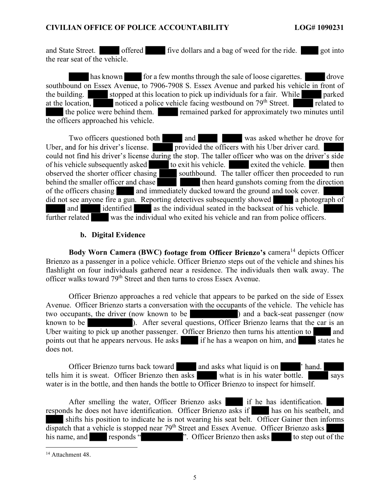and State Street. offered five dollars and a bag of weed for the ride. got into the rear seat of the vehicle.

has known for a few months through the sale of loose cigarettes. drove southbound on Essex Avenue, to 7906-7908 S. Essex Avenue and parked his vehicle in front of the building. Stopped at this location to pick up individuals for a fair. While parked at the location, noticed a police vehicle facing westbound on  $79<sup>th</sup>$  Street. the police were behind them. remained parked for approximately two minutes until the officers approached his vehicle.

Uber, and for his driver's license. provided the officers with his Uber driver card. could not find his driver's license during the stop. The taller officer who was on the driver's side<br>of his vehicle subsequently asked<br>to exit his vehicle. Two officers questioned both and was asked whether he drove for of his vehicle subsequently asked to exit his vehicle. exited the vehicle. then observed the shorter officer chasing southbound. The taller officer then proceeded to run behind the smaller officer and chase  $b$  then heard gunshots coming from the direction of the officers chasing and immediately ducked toward the ground and took cover. did not see anyone fire a gun. Reporting detectives subsequently showed a photograph of and identified as the individual seated in the backseat of his vehicle. further related was the individual who exited his vehicle and ran from police officers.

# b. Digital Evidence

Body Worn Camera (BWC) footage from Officer Brienzo's camera<sup>14</sup> depicts Officer Brienzo as a passenger in a police vehicle. Officer Brienzo steps out of the vehicle and shines his flashlight on four individuals gathered near a residence. The individuals then walk away. The officer walks toward 79th Street and then turns to cross Essex Avenue.

 Officer Brienzo approaches a red vehicle that appears to be parked on the side of Essex Avenue. Officer Brienzo starts a conversation with the occupants of the vehicle. The vehicle has two occupants, the driver (now known to be ) and a back-seat passenger (now known to be **a contract of the several questions**, Officer Brienzo learns that the car is an Uber waiting to pick up another passenger. Officer Brienzo then turns his attention to and points out that he appears nervous. He asks if he has a weapon on him, and states he does not.

**Thand.** Officer Brienzo turns back toward and asks what liquid is on tells him it is sweat. Officer Brienzo then asks what is in his water bottle. water is in the bottle, and then hands the bottle to Officer Brienzo to inspect for himself.

After smelling the water, Officer Brienzo asks if he has identification. responds he does not have identification. Officer Brienzo asks if has on his seatbelt, and shifts his position to indicate he is not wearing his seat belt. Officer Gainer then informs  $\overline{dispatch}$  that a vehicle is stopped near 79<sup>th</sup> Street and Essex Avenue. Officer Brienzo asks his name, and responds "<br>
The name of the responds ". Officer Brienzo then asks to step out of the 14 Attachment 48.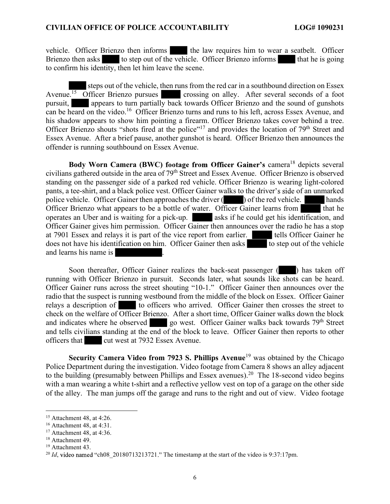vehicle. Officer Brienzo then informs the law requires him to wear a seatbelt. Officer Brienzo then asks to step out of the vehicle. Officer Brienzo informs that he is going to confirm his identity, then let him leave the scene.

 steps out of the vehicle, then runs from the red car in a southbound direction on Essex Avenue.<sup>15</sup> Officer Brienzo pursues crossing on alley. After several seconds of a foot pursuit, appears to turn partially back towards Officer Brienzo and the sound of gunshots can be heard on the video.<sup>16</sup> Officer Brienzo turns and runs to his left, across Essex Avenue, and his shadow appears to show him pointing a firearm. Officer Brienzo takes cover behind a tree. Officer Brienzo shouts "shots fired at the police"<sup>17</sup> and provides the location of  $79<sup>th</sup>$  Street and Essex Avenue. After a brief pause, another gunshot is heard. Officer Brienzo then announces the offender is running southbound on Essex Avenue.

Body Worn Camera (BWC) footage from Officer Gainer's camera<sup>18</sup> depicts several pants, a tee-shirt, and a black police vest. Officer Gainer walks to the driver's side of an unmarked civilians gathered outside in the area of 79<sup>th</sup> Street and Essex Avenue. Officer Brienzo is observed standing on the passenger side of a parked red vehicle. Officer Brienzo is wearing light-colored vehicle. Officer Brienzo then informs which law requires him to wear a seatbelt. Officer Brienzo then asks the confirm his identity, then let him leave the scene.<br>
Moreover the vehicle, then runs from the red car in a sou Officer Brienzo what appears to be a bottle of water. Officer Gainer learns from that he operates an Uber and is waiting for a pick-up. asks if he could get his identification, and Officer Gainer gives him permission. Officer Gainer then announces over the radio he has a stop at 7901 Essex and relays it is part of the vice report from earlier. tells Officer Gainer he does not have his identification on him. Officer Gainer then asks to step out of the vehicle and learns his name is Frame the shadow appears to show him pointing a firect medition of the context of the shadow appears of solon him pointing a firecar context. Officer Brienzo that we have the booth with pointing a firecar of Cherce Brienz

Officer Gainer runs across the street shouting "10-1." Officer Gainer then announces over the running with Officer Brienzo in pursuit. Seconds later, what sounds like shots can be heard. radio that the suspect is running westbound from the middle of the block on Essex. Officer Gainer relays a description of to officers who arrived. Officer Gainer then crosses the street to check on the welfare of Officer Brienzo. After a short time, Officer Gainer walks down the block and indicates where he observed go west. Officer Gainer walks back towards 79<sup>th</sup> Street and tells civilians standing at the end of the block to leave. Officer Gainer then reports to other officers that cut west at 7932 Essex Avenue.

Security Camera Video from 7923 S. Phillips Avenue<sup>19</sup> was obtained by the Chicago Police Department during the investigation. Video footage from Camera 8 shows an alley adjacent to the building (presumably between Phillips and Essex avenues).<sup>20</sup> The 18-second video begins with a man wearing a white t-shirt and a reflective yellow vest on top of a garage on the other side of the alley. The man jumps off the garage and runs to the right and out of view. Video footage

<sup>15</sup> Attachment 48, at 4:26.

<sup>16</sup> Attachment 48, at 4:31.

 $17$  Attachment 48, at 4:36.

<sup>&</sup>lt;sup>18</sup> Attachment 49.

<sup>&</sup>lt;sup>19</sup> Attachment 43.

<sup>&</sup>lt;sup>20</sup> *Id*, video named "ch08\_20180713213721." The timestamp at the start of the video is 9:37:17pm.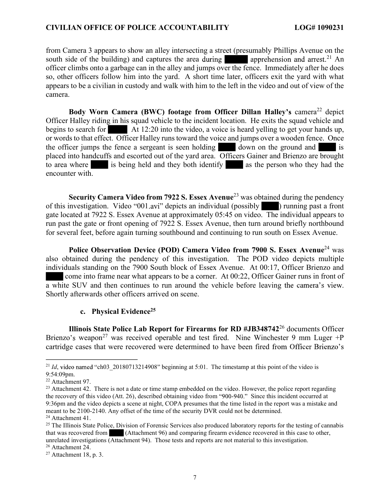#### CIVILIAN OFFICE OF POLICE ACCOUNTABILITY LOG# 1090231

south side of the building) and captures the area during apprehension and arrest.<sup>21</sup> An from Camera 3 appears to show an alley intersecting a street (presumably Phillips Avenue on the officer climbs onto a garbage can in the alley and jumps over the fence. Immediately after he does so, other officers follow him into the yard. A short time later, officers exit the yard with what appears to be a civilian in custody and walk with him to the left in the video and out of view of the camera.

Body Worn Camera (BWC) footage from Officer Dillan Halley's camera<sup>22</sup> depict Officer Halley riding in his squad vehicle to the incident location. He exits the squad vehicle and begins to search for At 12:20 into the video, a voice is heard yelling to get your hands up, or words to that effect. Officer Halley runs toward the voice and jumps over a wooden fence. Once the officer jumps the fence a sergeant is seen holding down on the ground and is placed into handcuffs and escorted out of the yard area. Officers Gainer and Brienzo are brought to area where is being held and they both identify as the person who they had the encounter with.

of this investigation. Video "001.avi" depicts an individual (possibly  $\qquad$ ) running past a front Security Camera Video from 7922 S. Essex Avenue<sup>23</sup> was obtained during the pendency gate located at 7922 S. Essex Avenue at approximately 05:45 on video. The individual appears to run past the gate or front opening of 7922 S. Essex Avenue, then turn around briefly northbound for several feet, before again turning southbound and continuing to run south on Essex Avenue.

a white SUV and then continues to run around the vehicle before leaving the camera's view.<br>Shortly afterwards other officers arrived on scene. Police Observation Device (POD) Camera Video from 7900 S. Essex Avenue<sup>24</sup> was also obtained during the pendency of this investigation. The POD video depicts multiple individuals standing on the 7900 South block of Essex Avenue. At 00:17, Officer Brienzo and come into frame near what appears to be a corner. At 00:22, Officer Gainer runs in front of

#### c. Physical Evidence<sup>25</sup>

Brienzo's weapon<sup>27</sup> was received operable and test fired. Nine Winchester 9 mm Luger +P cartridge cases that were recovered were determined to have been fired from Officer Brienzo's<br>
Let Id, video named "ch03\_20180713214908" beginning at 5:01. The timestamp at this point of the video is Illinois State Police Lab Report for Firearms for RD  $\# JB348742^{26}$  documents Officer

26 Attachment 24.

video named "ch03\_20180713214908"

<sup>9:54:09</sup>pm.<br><sup>22</sup> Attachment 97.

the recovery of this video (Att. 26), described obtaining video from "900-940." Since this incident occurred at <sup>23</sup> Attachment 42. There is not a date or time stamp embedded on the video. However, the police report regarding 9:36pm and the video depicts a scene at night, COPA presumes that the time listed in the report was a mistake and meant to be 2100-2140. Any offset of the time of the security DVR could not be determined. 24 Attachment 41.

 $25$  The Illinois State Police, Division of Forensic Services also produced laboratory reports for the testing of cannabis that was recovered from (Attachment 96) and comparing firearm evidence recovered in this case to other, unrelated investigations (Attachment 94). Those tests and reports are not material to this investigation.

 $27$  Attachment 18, p. 3.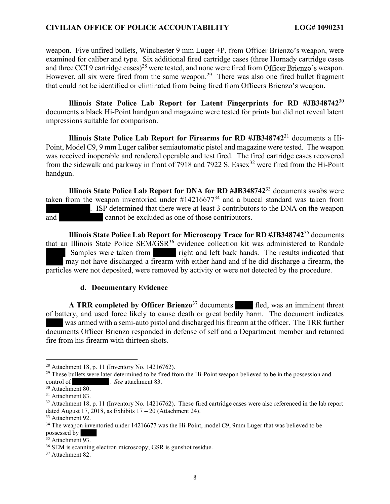#### CIVILIAN OFFICE OF POLICE ACCOUNTABILITY LOG# 1090231

weapon. Five unfired bullets, Winchester 9 mm Luger +P, from Officer Brienzo's weapon, were and three CCI 9 cartridge cases)<sup>28</sup> were tested, and none were fired from Officer Brienzo's weapon. that could not be identified or eliminated from being fired from Officers Brienzo's weapon. examined for caliber and type. Six additional fired cartridge cases (three Hornady cartridge cases However, all six were fired from the same weapon.<sup>29</sup> There was also one fired bullet fragment

Illinois State Police Lab Report for Latent Fingerprints for RD #JB348742 $30$ documents a black Hi-Point handgun and magazine were tested for prints but did not reveal latent impressions suitable for comparison.

Illinois State Police Lab Report for Firearms for RD  $\# JB348742^{31}$  documents a Hi-Point, Model C9, 9 mm Luger caliber semiautomatic pistol and magazine were tested. The weapon was received inoperable and rendered operable and test fired. The fired cartridge cases recovered from the sidewalk and parkway in front of 7918 and 7922 S. Essex<sup>32</sup> were fired from the Hi-Point handgun.

Illinois State Police Lab Report for DNA for RD  $\# JB348742^{33}$  documents swabs were taken from the weapon inventoried under  $\#14216677^{34}$  and a buccal standard was taken from . ISP determined that there were at least 3 contributors to the DNA on the weapon and cannot be excluded as one of those contributors.

Samples were taken from right and left back hands. The results indicated that Illinois State Police Lab Report for Microscopy Trace for RD #JB34874235 documents that an Illinois State Police SEM/GSR<sup>36</sup> evidence collection kit was administered to Randale may not have discharged a firearm with either hand and if he did discharge a firearm, the particles were not deposited, were removed by activity or were not detected by the procedure.

#### d. Documentary Evidence

A TRR completed by Officer Brienzo<sup>37</sup> documents fled, was an imminent threat of battery, and used force likely to cause death or great bodily harm. The document indicates was armed with a semi-auto pistol and discharged his firearm at the officer. The TRR further documents Officer Brienzo responded in defense of self and a Department member and returned fire from his firearm with thirteen shots.

<sup>28</sup> Attachment 18, p. 11 (Inventory No. 14216762).

<sup>&</sup>lt;sup>29</sup> These bullets were later determined to be fired from the Hi-Point weapon believed to be in the possession and control of . See attachment 83.

<sup>&</sup>lt;sup>30</sup> Attachment 80.

<sup>31</sup> Attachment 83.

 $32$  Attachment 18, p. 11 (Inventory No. 14216762). These fired cartridge cases were also referenced in the lab report dated August 17, 2018, as Exhibits  $17 - 20$  (Attachment 24).

<sup>&</sup>lt;sup>33</sup> Attachment 92.

<sup>&</sup>lt;sup>34</sup> The weapon inventoried under 14216677 was the Hi-Point, model C9, 9mm Luger that was believed to be possessed by

 $35$  Attachment 93.

<sup>36</sup> SEM is scanning electron microscopy; GSR is gunshot residue.

<sup>&</sup>lt;sup>37</sup> Attachment 82.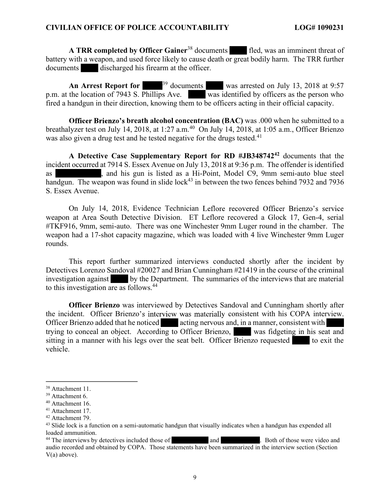A TRR completed by Officer Gainer<sup>38</sup> documents fled, was an imminent threat of battery with a weapon, and used force likely to cause death or great bodily harm. The TRR further documents discharged his firearm at the officer.

An Arrest Report for <sup>39</sup> documents was arrested on July 13, 2018 at 9:57 p.m. at the location of 7943 S. Phillips Ave. was identified by officers as the person who fired a handgun in their direction, knowing them to be officers acting in their official capacity.

Officer Brienzo's breath alcohol concentration (BAC) was .000 when he submitted to a breathalyzer test on July 14, 2018, at 1:27 a.m.<sup>40</sup> On July 14, 2018, at 1:05 a.m., Officer Brienzo was also given a drug test and he tested negative for the drugs tested.<sup>41</sup>

A Detective Case Supplementary Report for RD #JB34874242 documents that the incident occurred at 7914 S. Essex Avenue on July 13, 2018 at 9:36 p.m. The offender is identified as , and his gun is listed as a Hi-Point, Model C9, 9mm semi-auto blue steel handgun. The weapon was found in slide lock<sup>43</sup> in between the two fences behind 7932 and 7936 S. Essex Avenue.

On July 14, 2018, Evidence Technician Leflore recovered Officer Brienzo's service weapon at Area South Detective Division. ET Leflore recovered a Glock 17, Gen-4, serial #TKF916, 9mm, semi-auto. There was one Winchester 9mm Luger round in the chamber. The weapon had a 17-shot capacity magazine, which was loaded with 4 live Winchester 9mm Luger rounds.

 This report further summarized interviews conducted shortly after the incident by Detectives Lorenzo Sandoval #20027 and Brian Cunningham #21419 in the course of the criminal investigation against by the Department. The summaries of the interviews that are material to this investigation are as follows.<sup>44</sup>

the incident. Officer Brienzo's interview was materially consistent with his COPA interview. Officer Brienzo was interviewed by Detectives Sandoval and Cunningham shortly after Officer Brienzo added that he noticed acting nervous and, in a manner, consistent with trying to conceal an object. According to Officer Brienzo, was fidgeting in his seat and sitting in a manner with his legs over the seat belt. Officer  $\overline{\text{Brienzo}}$  requested to exit the vehicle.

<sup>&</sup>lt;sup>38</sup> Attachment 11.

 $39$  Attachment 6.<br> $40$  Attachment 16.

<sup>&</sup>lt;sup>41</sup> Attachment 17.  $42$  Attachment 79.

<sup>&</sup>lt;sup>43</sup> Slide lock is a function on a semi-automatic handgun that visually indicates when a handgun has expended all loaded ammunition.

<sup>&</sup>lt;sup>44</sup> The interviews by detectives included those of and **and** . Both of those were video and audio recorded and obtained by COPA. Those statements have been summarized in the interview section (Section V(a) above).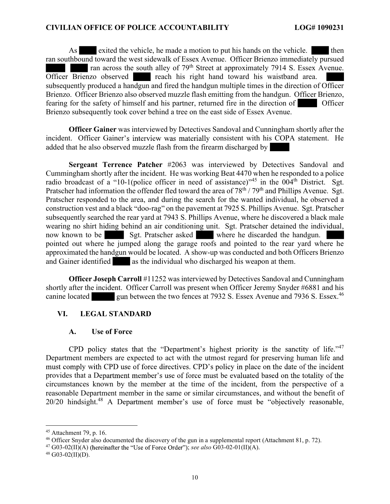As exited the vehicle, he made a motion to put his hands on the vehicle. then ran southbound toward the west sidewalk of Essex Avenue. Officer Brienzo immediately pursued ran across the south alley of 79<sup>th</sup> Street at approximately 7914 S. Essex Avenue. Officer Brienzo observed reach his right hand toward his waistband area. subsequently produced a handgun and fired the handgun multiple times in the direction of Officer Brienzo. Officer Brienzo also observed muzzle flash emitting from the handgun. Officer Brienzo, fearing for the safety of himself and his partner, returned fire in the direction of Officer Brienzo subsequently took cover behind a tree on the east side of Essex Avenue.

incident. Officer Gainer's interview was materially consistent with his COPA statement. He Officer Gainer was interviewed by Detectives Sandoval and Cunningham shortly after the added that he also observed muzzle flash from the firearm discharged by

radio broadcast of a "10-1(police officer in need of assistance)"<sup>45</sup> in the 004<sup>th</sup> District. Sgt. construction vest and a black "doo-rag" on the pavement at 7925 S. Phillips Avenue. Sgt. Pratscher Sergeant Terrence Patcher #2063 was interviewed by Detectives Sandoval and Cummingham shortly after the incident. He was working Beat 4470 when he responded to a police Pratscher had information the offender fled toward the area of  $78<sup>th</sup> / 79<sup>th</sup>$  and Phillips Avenue. Sgt. Pratscher responded to the area, and during the search for the wanted individual, he observed a subsequently searched the rear yard at 7943 S. Phillips Avenue, where he discovered a black male wearing no shirt hiding behind an air conditioning unit. Sgt. Pratscher detained the individual, now known to be Sgt. Pratscher asked where he discarded the handgun. pointed out where he jumped along the garage roofs and pointed to the rear yard where he approximated the handgun would be located. A show-up was conducted and both Officers Brienzo and Gainer identified as the individual who discharged his weapon at them.

canine located gun between the two fences at 7932 S. Essex Avenue and 7936 S. Essex.<sup>46</sup> Officer Joseph Carroll #11252 was interviewed by Detectives Sandoval and Cunningham shortly after the incident. Officer Carroll was present when Officer Jeremy Snyder #6881 and his

# VI. LEGAL STANDARD

## A. Use of Force

CPD policy states that the "Department's highest priority is the sanctity of life."<sup>47</sup> must comply with CPD use of force directives. CPD's policy in place on the date of the incident provides that a Department member's use of force must be evaluated based on the totality of the 20/20 hindsight.<sup>48</sup> A Department member's use of force must be "objectively reasonable, 47 Department members are expected to act with the utmost regard for preserving human life and circumstances known by the member at the time of the incident, from the perspective of a reasonable Department member in the same or similar circumstances, and without the benefit of

<sup>45</sup> Attachment 79, p. 16.

<sup>46</sup> Officer Snyder also documented the discovery of the gun in a supplemental report (Attachment 81, p. 72).

<sup>&</sup>lt;sup>47</sup> G03-02(II)(A) (hereinafter the "Use of Force Order"); see also G03-02-01(II)(A).

 $48$  G03-02(II)(D).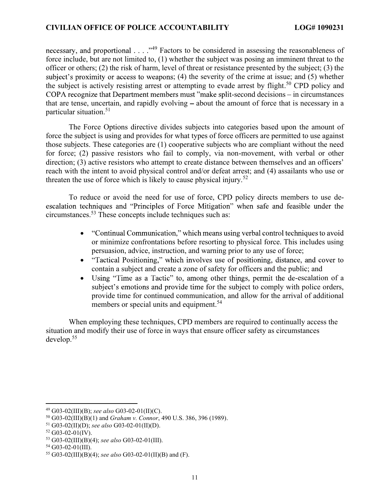necessary, and proportional . . . . "<sup>49</sup> Factors to be considered in assessing the reasonableness of subject's proximity or access to weapons; (4) the severity of the crime at issue; and (5) whether COPA recognize that Department members must "make split-second decisions – in circumstances force include, but are not limited to, (1) whether the subject was posing an imminent threat to the officer or others; (2) the risk of harm, level of threat or resistance presented by the subject; (3) the the subject is actively resisting arrest or attempting to evade arrest by flight.<sup>50</sup> CPD policy and that are tense, uncertain, and rapidly evolving  $-$  about the amount of force that is necessary in a particular situation.<sup>51</sup>

direction; (3) active resistors who attempt to create distance between themselves and an officers' The Force Options directive divides subjects into categories based upon the amount of force the subject is using and provides for what types of force officers are permitted to use against those subjects. These categories are (1) cooperative subjects who are compliant without the need for force; (2) passive resistors who fail to comply, via non-movement, with verbal or other reach with the intent to avoid physical control and/or defeat arrest; and (4) assailants who use or threaten the use of force which is likely to cause physical injury.<sup>52</sup>

escalation techniques and "Principles of Force Mitigation" when safe and feasible under the To reduce or avoid the need for use of force, CPD policy directs members to use decircumstances.53 These concepts include techniques such as:

- "Continual Communication," which means using verbal control techniques to avoid or minimize confrontations before resorting to physical force. This includes using persuasion, advice, instruction, and warning prior to any use of force;
- "Tactical Positioning," which involves use of positioning, distance, and cover to contain a subject and create a zone of safety for officers and the public; and
- Using "Time as a Tactic" to, among other things, permit the de-escalation of a subject's emotions and provide time for the subject to comply with police orders, provide time for continued communication, and allow for the arrival of additional members or special units and equipment.<sup>54</sup>

When employing these techniques, CPD members are required to continually access the situation and modify their use of force in ways that ensure officer safety as circumstances develop.<sup>55</sup>

 $^{49}$  G03-02(III)(B); see also G03-02-01(II)(C).

<sup>50</sup> G03-02(III)(B)(1) and Graham v. Connor, 490 U.S. 386, 396 (1989).

<sup>&</sup>lt;sup>51</sup> G03-02(II)(D); see also G03-02-01(II)(D).

 $52$  G03-02-01(IV).

<sup>&</sup>lt;sup>53</sup> G03-02(III)(B)(4); see also G03-02-01(III).<br><sup>54</sup> G03-02-01(III).

<sup>&</sup>lt;sup>55</sup> G03-02(III)(B)(4); see also G03-02-01(II)(B) and (F).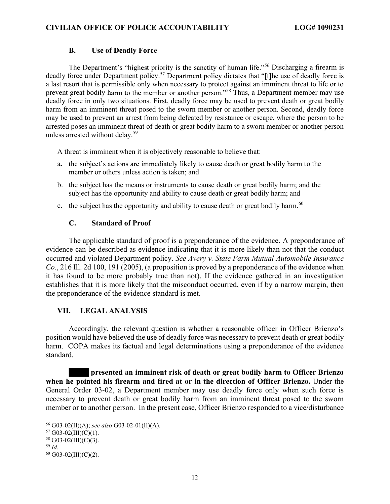## B. Use of Deadly Force

The Department's "highest priority is the sanctity of human life."<sup>56</sup> Discharging a firearm is deadly force under Department policy.<sup>57</sup> Department policy dictates that "[t]he use of deadly force is prevent great bodily harm to the member or another person."<sup>58</sup> Thus, a Department member may use a last resort that is permissible only when necessary to protect against an imminent threat to life or to deadly force in only two situations. First, deadly force may be used to prevent death or great bodily harm from an imminent threat posed to the sworn member or another person. Second, deadly force may be used to prevent an arrest from being defeated by resistance or escape, where the person to be arrested poses an imminent threat of death or great bodily harm to a sworn member or another person unless arrested without delay.<sup>59</sup>

A threat is imminent when it is objectively reasonable to believe that:

- a. the subject's actions are immediately likely to cause death or great bodily harm to the member or others unless action is taken; and
- b. the subject has the means or instruments to cause death or great bodily harm; and the subject has the opportunity and ability to cause death or great bodily harm; and
- c. the subject has the opportunity and ability to cause death or great bodily harm.<sup>60</sup>

## C. Standard of Proof

The applicable standard of proof is a preponderance of the evidence. A preponderance of evidence can be described as evidence indicating that it is more likely than not that the conduct occurred and violated Department policy. See Avery v. State Farm Mutual Automobile Insurance Co., 216 Ill. 2d 100, 191 (2005), (a proposition is proved by a preponderance of the evidence when it has found to be more probably true than not). If the evidence gathered in an investigation establishes that it is more likely that the misconduct occurred, even if by a narrow margin, then the preponderance of the evidence standard is met.

# VII. LEGAL ANALYSIS

Accordingly, the relevant question is whether a reasonable officer in Officer Brienzo's position would have believed the use of deadly force was necessary to prevent death or great bodily harm. COPA makes its factual and legal determinations using a preponderance of the evidence standard.

 presented an imminent risk of death or great bodily harm to Officer Brienzo when he pointed his firearm and fired at or in the direction of Officer Brienzo. Under the General Order 03-02, a Department member may use deadly force only when such force is necessary to prevent death or great bodily harm from an imminent threat posed to the sworn member or to another person. In the present case, Officer Brienzo responded to a vice/disturbance

<sup>&</sup>lt;sup>56</sup> G03-02(II)(A); see also G03-02-01(II)(A).<br><sup>57</sup> G03-02(III)(C)(1).

<sup>58</sup> G03-02(III)(C)(3).

 $59$  Id.

 $60$  G03-02(III)(C)(2).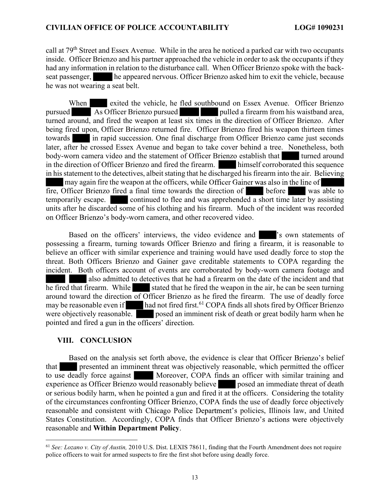call at 79<sup>th</sup> Street and Essex Avenue. While in the area he noticed a parked car with two occupants inside. Officer Brienzo and his partner approached the vehicle in order to ask the occupants if they had any information in relation to the disturbance call. When Officer Brienzo spoke with the backseat passenger, he appeared nervous. Officer Brienzo asked him to exit the vehicle, because he was not wearing a seat belt.

may again fire the weapon at the officers, while Officer Gainer was also in the line of on Officer Brienzo's body -worn camera, and other recovered video. When exited the vehicle, he fled southbound on Essex Avenue. Officer Brienzo pursued As Officer Brienzo pursued pulled a firearm from his waistband area, turned around, and fired the weapon at least six times in the direction of Officer Brienzo. After being fired upon, Officer Brienzo returned fire. Officer Brienzo fired his weapon thirteen times towards in rapid succession. One final discharge from Officer Brienzo came just seconds later, after he crossed Essex Avenue and began to take cover behind a tree. Nonetheless, both body-worn camera video and the statement of Officer Brienzo establish that turned around in the direction of Officer Brienzo and fired the firearm. himself corroborated this sequence in his statement to the detectives, albeit stating that he discharged his firearm into the air. Believing fire, Officer Brienzo fired a final time towards the direction of before was able to temporarily escape. continued to flee and was apprehended a short time later by assisting units after he discarded some of his clothing and his firearm. Much of the incident was recorded

Based on the officers' interviews, the video evidence and solution is own statements of pointed and fired a gun in the officers' direction. possessing a firearm, turning towards Officer Brienzo and firing a firearm, it is reasonable to believe an officer with similar experience and training would have used deadly force to stop the threat. Both Officers Brienzo and Gainer gave creditable statements to COPA regarding the incident. Both officers account of events are corroborated by body-worn camera footage and also admitted to detectives that he had a firearm on the date of the incident and that he fired that firearm. While stated that he fired the weapon in the air, he can be seen turning around toward the direction of Officer Brienzo as he fired the firearm. The use of deadly force may be reasonable even if had not fired first.<sup>61</sup> COPA finds all shots fired by Officer Brienzo were objectively reasonable. posed an imminent risk of death or great bodily harm when he

# VIII. CONCLUSION

reasonable and consistent with Chicago Police Department's policies, Illinois law, and United Based on the analysis set forth above, the evidence is clear that Officer Brienzo's belief States Constitution. Accordingly, COPA finds that Officer Brienzo's actions were objectively that presented an imminent threat was objectively reasonable, which permitted the officer to use deadly force against Moreover, COPA finds an officer with similar training and experience as Officer Brienzo would reasonably believe posed an immediate threat of death or serious bodily harm, when he pointed a gun and fired it at the officers. Considering the totality of the circumstances confronting Officer Brienzo, COPA finds the use of deadly force objectively reasonable and **Within Department Policy**.<br>
61 See: Lozano v. City of Austin, 2010 U.S. Dist. LEXIS 78611, finding that the Fourth Amendment does not require

police officers to wait for armed suspects to fire the first shot before using deadly force.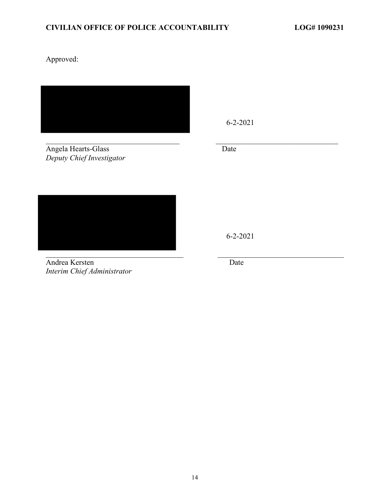Approved:



Deputy Chief Investigator



Interim Chief Administrator